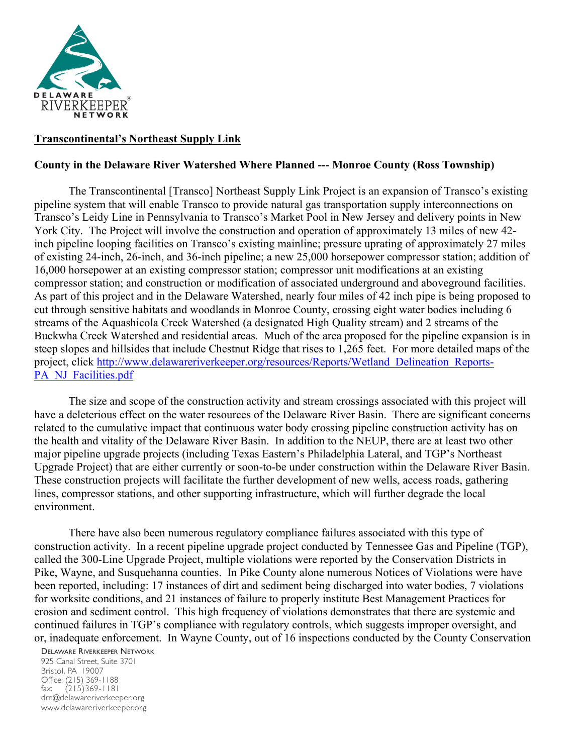

## **Transcontinental's Northeast Supply Link**

## **County in the Delaware River Watershed Where Planned --- Monroe County (Ross Township)**

The Transcontinental [Transco] Northeast Supply Link Project is an expansion of Transco's existing pipeline system that will enable Transco to provide natural gas transportation supply interconnections on Transco's Leidy Line in Pennsylvania to Transco's Market Pool in New Jersey and delivery points in New York City. The Project will involve the construction and operation of approximately 13 miles of new 42 inch pipeline looping facilities on Transco's existing mainline; pressure uprating of approximately 27 miles of existing 24-inch, 26-inch, and 36-inch pipeline; a new 25,000 horsepower compressor station; addition of 16,000 horsepower at an existing compressor station; compressor unit modifications at an existing compressor station; and construction or modification of associated underground and aboveground facilities. As part of this project and in the Delaware Watershed, nearly four miles of 42 inch pipe is being proposed to cut through sensitive habitats and woodlands in Monroe County, crossing eight water bodies including 6 streams of the Aquashicola Creek Watershed (a designated High Quality stream) and 2 streams of the Buckwha Creek Watershed and residential areas. Much of the area proposed for the pipeline expansion is in steep slopes and hillsides that include Chestnut Ridge that rises to 1,265 feet. For more detailed maps of the project, click http://www.delawareriverkeeper.org/resources/Reports/Wetland\_Delineation\_Reports-PA\_NJ\_Facilities.pdf

The size and scope of the construction activity and stream crossings associated with this project will have a deleterious effect on the water resources of the Delaware River Basin. There are significant concerns related to the cumulative impact that continuous water body crossing pipeline construction activity has on the health and vitality of the Delaware River Basin. In addition to the NEUP, there are at least two other major pipeline upgrade projects (including Texas Eastern's Philadelphia Lateral, and TGP's Northeast Upgrade Project) that are either currently or soon-to-be under construction within the Delaware River Basin. These construction projects will facilitate the further development of new wells, access roads, gathering lines, compressor stations, and other supporting infrastructure, which will further degrade the local environment.

There have also been numerous regulatory compliance failures associated with this type of construction activity. In a recent pipeline upgrade project conducted by Tennessee Gas and Pipeline (TGP), called the 300-Line Upgrade Project, multiple violations were reported by the Conservation Districts in Pike, Wayne, and Susquehanna counties. In Pike County alone numerous Notices of Violations were have been reported, including: 17 instances of dirt and sediment being discharged into water bodies, 7 violations for worksite conditions, and 21 instances of failure to properly institute Best Management Practices for erosion and sediment control. This high frequency of violations demonstrates that there are systemic and continued failures in TGP's compliance with regulatory controls, which suggests improper oversight, and or, inadequate enforcement. In Wayne County, out of 16 inspections conducted by the County Conservation

DELAWARE RIVERKEEPER NETWORK

925 Canal Street, Suite 3701 Bristol, PA 19007 Office: (215) 369-1188 fax: (215)369-1181 drn@delawareriverkeeper.org www.delawareriverkeeper.org